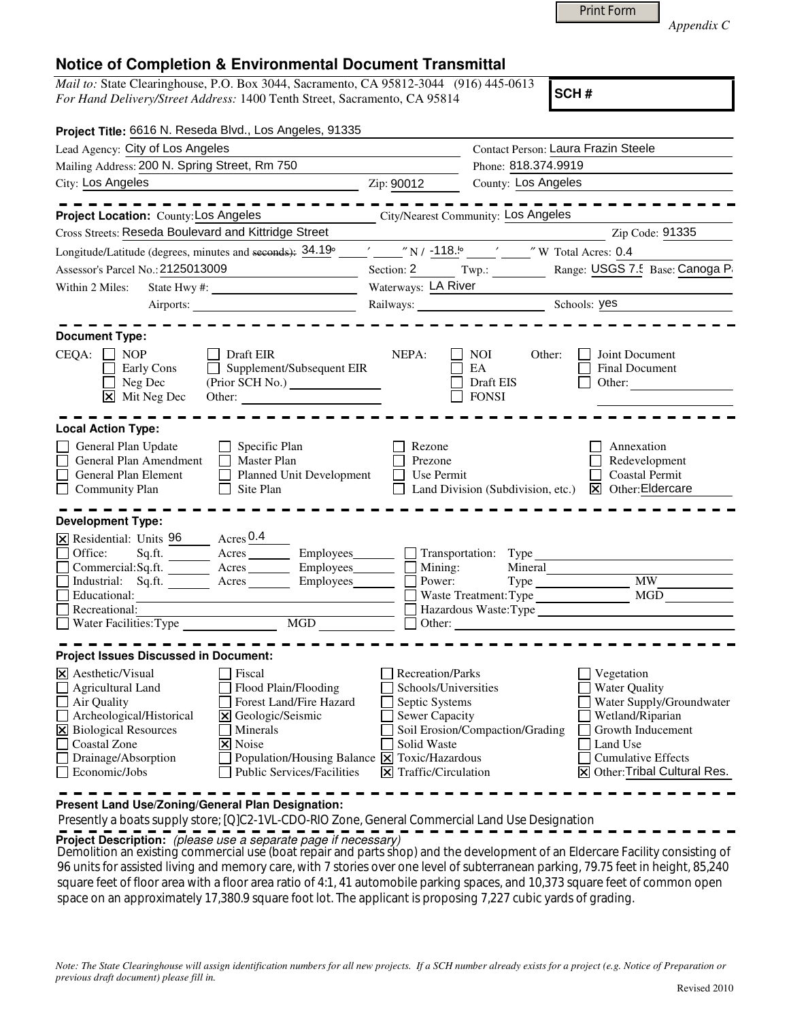|  | Print Form |  |
|--|------------|--|
|  |            |  |

*Appendix C* 

## **Notice of Completion & Environmental Document Transmittal**

*Mail to:* State Clearinghouse, P.O. Box 3044, Sacramento, CA 95812-3044 (916) 445-0613 *For Hand Delivery/Street Address:* 1400 Tenth Street, Sacramento, CA 95814

**SCH #**

| Project Title: 6616 N. Reseda Blvd., Los Angeles, 91335                                                                                                                                                                                                                                                                                                                                        |                                                                                                                                                                 |                                                                                                                                                                                                                             |
|------------------------------------------------------------------------------------------------------------------------------------------------------------------------------------------------------------------------------------------------------------------------------------------------------------------------------------------------------------------------------------------------|-----------------------------------------------------------------------------------------------------------------------------------------------------------------|-----------------------------------------------------------------------------------------------------------------------------------------------------------------------------------------------------------------------------|
| Lead Agency: City of Los Angeles                                                                                                                                                                                                                                                                                                                                                               | Contact Person: Laura Frazin Steele                                                                                                                             |                                                                                                                                                                                                                             |
| Mailing Address: 200 N. Spring Street, Rm 750                                                                                                                                                                                                                                                                                                                                                  |                                                                                                                                                                 | Phone: 818.374.9919                                                                                                                                                                                                         |
| City: Los Angeles<br><u> 1989 - Johann Barbara, martin a</u>                                                                                                                                                                                                                                                                                                                                   | Zip: 90012                                                                                                                                                      | County: Los Angeles                                                                                                                                                                                                         |
|                                                                                                                                                                                                                                                                                                                                                                                                |                                                                                                                                                                 |                                                                                                                                                                                                                             |
| Project Location: County: Los Angeles                                                                                                                                                                                                                                                                                                                                                          |                                                                                                                                                                 | City/Nearest Community: Los Angeles                                                                                                                                                                                         |
| Cross Streets: Reseda Boulevard and Kittridge Street                                                                                                                                                                                                                                                                                                                                           |                                                                                                                                                                 | Zip Code: 91335                                                                                                                                                                                                             |
|                                                                                                                                                                                                                                                                                                                                                                                                |                                                                                                                                                                 |                                                                                                                                                                                                                             |
| Assessor's Parcel No.: 2125013009<br><u> 1990 - Johann Barbara, martin a</u>                                                                                                                                                                                                                                                                                                                   |                                                                                                                                                                 | Section: 2 Twp.: Twp.: Range: USGS 7.5 Base: Canoga Pa                                                                                                                                                                      |
| Within 2 Miles:<br>State Hwy #: $\frac{2}{\sqrt{2}}$                                                                                                                                                                                                                                                                                                                                           | Waterways: LA River                                                                                                                                             |                                                                                                                                                                                                                             |
| Airports:                                                                                                                                                                                                                                                                                                                                                                                      |                                                                                                                                                                 | Railways: Schools: yes                                                                                                                                                                                                      |
| <b>Document Type:</b><br>$CEQA: \Box NP$<br>Draft EIR                                                                                                                                                                                                                                                                                                                                          | NEPA:                                                                                                                                                           | <b>NOI</b><br>Other:<br>Joint Document                                                                                                                                                                                      |
| $\Box$ Supplement/Subsequent EIR<br>Early Cons<br>$\Box$ Neg Dec<br>$\boxed{\mathsf{X}}$ Mit Neg Dec                                                                                                                                                                                                                                                                                           |                                                                                                                                                                 | EA<br>Final Document<br>Draft EIS<br>Other:<br><b>FONSI</b>                                                                                                                                                                 |
| <b>Local Action Type:</b>                                                                                                                                                                                                                                                                                                                                                                      |                                                                                                                                                                 |                                                                                                                                                                                                                             |
| General Plan Update<br>Specific Plan<br>General Plan Amendment<br>П<br><b>Master Plan</b><br>П<br>General Plan Element<br>Planned Unit Development<br>$\Box$ Community Plan<br>Site Plan                                                                                                                                                                                                       | Rezone<br>Prezone<br>Use Permit                                                                                                                                 | Annexation<br>Redevelopment<br><b>Coastal Permit</b><br>$ \mathbf{\nabla} $ Other: Eldercare<br>Land Division (Subdivision, etc.)                                                                                           |
| <b>Development Type:</b>                                                                                                                                                                                                                                                                                                                                                                       |                                                                                                                                                                 |                                                                                                                                                                                                                             |
| X Residential: Units 96 Acres 0.4<br>Sq.ft. _________ Acres __________ Employees________<br>Office:<br>Commercial:Sq.ft. Acres Employees<br>Industrial: Sq.ft. <u>Acres</u> Acres Employees<br>Educational:<br>Recreational:<br>MGD                                                                                                                                                            | $\Box$ Mining:<br>$\Box$ Power:                                                                                                                                 | $\Box$ Transportation: Type<br>Mineral<br>MW<br>Waste Treatment: Type<br>Hazardous Waste:Type<br>$\Box$ Other:                                                                                                              |
| <b>Project Issues Discussed in Document:</b>                                                                                                                                                                                                                                                                                                                                                   |                                                                                                                                                                 |                                                                                                                                                                                                                             |
| $\overline{\mathsf{x}}$ Aesthetic/Visual<br>Fiscal<br>Flood Plain/Flooding<br><b>Agricultural Land</b><br>Forest Land/Fire Hazard<br>$\Box$ Air Quality<br>$\Box$ Archeological/Historical<br>X Geologic/Seismic<br>X Biological Resources<br>Minerals<br>Coastal Zone<br>X Noise<br>Drainage/Absorption<br>Population/Housing Balance X<br>$\Box$ Economic/Jobs<br>Public Services/Facilities | Recreation/Parks<br>Schools/Universities<br>Septic Systems<br>Sewer Capacity<br>Solid Waste<br>Toxic/Hazardous<br>$ \mathbf{\overline{X}} $ Traffic/Circulation | Vegetation<br><b>Water Quality</b><br>Water Supply/Groundwater<br>Wetland/Riparian<br>Soil Erosion/Compaction/Grading<br>Growth Inducement<br>Land Use<br><b>Cumulative Effects</b><br><b>X</b> Other: Tribal Cultural Res. |

**Present Land Use/Zoning/General Plan Designation:**

Presently a boats supply store; [Q]C2-1VL-CDO-RIO Zone, General Commercial Land Use Designation

**Project Description:** (please use a separate page if necessary)

 Demolition an existing commercial use (boat repair and parts shop) and the development of an Eldercare Facility consisting of 96 units for assisted living and memory care, with 7 stories over one level of subterranean parking, 79.75 feet in height, 85,240 square feet of floor area with a floor area ratio of 4:1, 41 automobile parking spaces, and 10,373 square feet of common open space on an approximately 17,380.9 square foot lot. The applicant is proposing 7,227 cubic yards of grading.